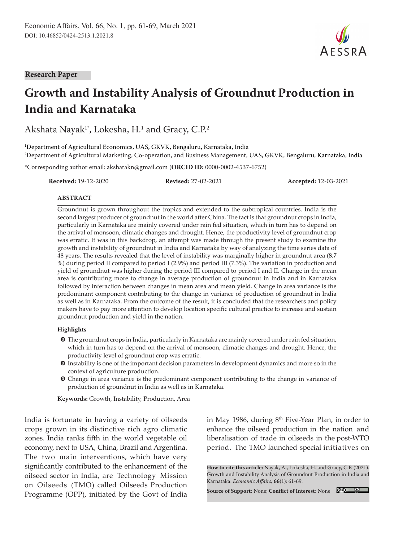**Research Paper**

# **Growth and Instability Analysis of Groundnut Production in India and Karnataka**

Akshata Nayak $^{\scriptscriptstyle 1*}$ , Lokesha, H. $^{\scriptscriptstyle 1}$  and Gracy, C.P. $^{\scriptscriptstyle 2}$ 

1 Department of Agricultural Economics, UAS, GKVK, Bengaluru, Karnataka, India 2 Department of Agricultural Marketing, Co-operation, and Business Management, UAS, GKVK, Bengaluru, Karnataka, India

\*Corresponding author email: akshatakn@gmail.com (**ORCID ID:** 0000-0002-4537-6752)

**Received:** 19-12-2020 **Revised:** 27-02-2021 **Accepted:** 12-03-2021

 $A$  F S S R  $A$ 

#### **ABSTRACT**

Groundnut is grown throughout the tropics and extended to the subtropical countries. India is the second largest producer of groundnut in the world after China. The fact is that groundnut crops in India, particularly in Karnataka are mainly covered under rain fed situation, which in turn has to depend on the arrival of monsoon, climatic changes and drought. Hence, the productivity level of groundnut crop was erratic. It was in this backdrop, an attempt was made through the present study to examine the growth and instability of groundnut in India and Karnataka by way of analyzing the time series data of 48 years. The results revealed that the level of instability was marginally higher in groundnut area (8.7 %) during period II compared to period I (2.9%) and period III (7.3%). The variation in production and yield of groundnut was higher during the period III compared to period I and II. Change in the mean area is contributing more to change in average production of groundnut in India and in Karnataka followed by interaction between changes in mean area and mean yield. Change in area variance is the predominant component contributing to the change in variance of production of groundnut in India as well as in Karnataka. From the outcome of the result, it is concluded that the researchers and policy makers have to pay more attention to develop location specific cultural practice to increase and sustain groundnut production and yield in the nation.

#### **Highlights**

- **O** The groundnut crops in India, particularly in Karnataka are mainly covered under rain fed situation, which in turn has to depend on the arrival of monsoon, climatic changes and drought. Hence, the productivity level of groundnut crop was erratic.
- m Instability is one of the important decision parameters in development dynamics and more so in the context of agriculture production.
- $\odot$  Change in area variance is the predominant component contributing to the change in variance of production of groundnut in India as well as in Karnataka.

**Keywords:** Growth, Instability, Production, Area

India is fortunate in having a variety of oilseeds crops grown in its distinctive rich agro climatic zones. India ranks fifth in the world vegetable oil economy, next to USA, China, Brazil and Argentina. The two main interventions, which have very significantly contributed to the enhancement of the oilseed sector in India, are Technology Mission on Oilseeds (TMO) called Oilseeds Production Programme (OPP), initiated by the Govt of India in May 1986, during  $8<sup>th</sup>$  Five-Year Plan, in order to enhance the oilseed production in the nation and liberalisation of trade in oilseeds in the post-WTO period. The TMO launched special initiatives on

**How to cite this article:** Nayak, A., Lokesha, H. and Gracy, C.P. (2021). Growth and Instability Analysis of Groundnut Production in India and Karnataka. *Economic Affairs,* **66**(1): 61-69.

**Source of Support:** None; **Conflict of Interest:** None

 $\bigcirc$   $\bigcirc$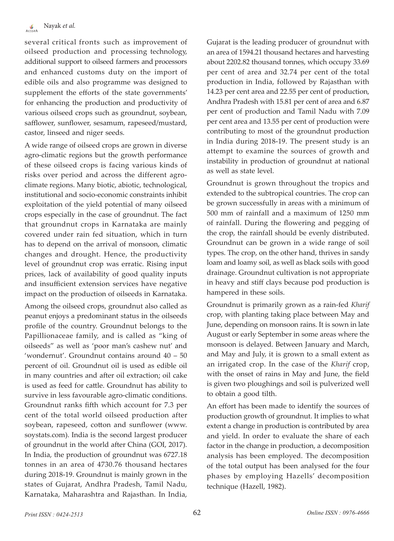several critical fronts such as improvement of oilseed production and processing technology, additional support to oilseed farmers and processors and enhanced customs duty on the import of edible oils and also programme was designed to supplement the efforts of the state governments' for enhancing the production and productivity of various oilseed crops such as groundnut, soybean, safflower, sunflower, sesamum, rapeseed/mustard, castor, linseed and niger seeds.

A wide range of oilseed crops are grown in diverse agro-climatic regions but the growth performance of these oilseed crops is facing various kinds of risks over period and across the different agroclimate regions. Many biotic, abiotic, technological, institutional and socio-economic constraints inhibit exploitation of the yield potential of many oilseed crops especially in the case of groundnut. The fact that groundnut crops in Karnataka are mainly covered under rain fed situation, which in turn has to depend on the arrival of monsoon, climatic changes and drought. Hence, the productivity level of groundnut crop was erratic. Rising input prices, lack of availability of good quality inputs and insufficient extension services have negative impact on the production of oilseeds in Karnataka.

Among the oilseed crops, groundnut also called as peanut enjoys a predominant status in the oilseeds profile of the country. Groundnut belongs to the Papillionaceae family, and is called as "king of oilseeds" as well as 'poor man's cashew nut' and 'wondernut'. Groundnut contains around 40 – 50 percent of oil. Groundnut oil is used as edible oil in many countries and after oil extraction; oil cake is used as feed for cattle. Groundnut has ability to survive in less favourable agro-climatic conditions. Groundnut ranks fifth which account for 7.3 per cent of the total world oilseed production after soybean, rapeseed, cotton and sunflower (www. soystats.com). India is the second largest producer of groundnut in the world after China (GOI, 2017). In India, the production of groundnut was 6727.18 tonnes in an area of 4730.76 thousand hectares during 2018-19. Groundnut is mainly grown in the states of Gujarat, Andhra Pradesh, Tamil Nadu, Karnataka, Maharashtra and Rajasthan. In India,

Gujarat is the leading producer of groundnut with an area of 1594.21 thousand hectares and harvesting about 2202.82 thousand tonnes, which occupy 33.69 per cent of area and 32.74 per cent of the total production in India, followed by Rajasthan with 14.23 per cent area and 22.55 per cent of production, Andhra Pradesh with 15.81 per cent of area and 6.87 per cent of production and Tamil Nadu with 7.09 per cent area and 13.55 per cent of production were contributing to most of the groundnut production in India during 2018-19. The present study is an attempt to examine the sources of growth and instability in production of groundnut at national as well as state level.

Groundnut is grown throughout the tropics and extended to the subtropical countries. The crop can be grown successfully in areas with a minimum of 500 mm of rainfall and a maximum of 1250 mm of rainfall. During the flowering and pegging of the crop, the rainfall should be evenly distributed. Groundnut can be grown in a wide range of soil types. The crop, on the other hand, thrives in sandy loam and loamy soil, as well as black soils with good drainage. Groundnut cultivation is not appropriate in heavy and stiff clays because pod production is hampered in these soils.

Groundnut is primarily grown as a rain-fed *Kharif* crop, with planting taking place between May and June, depending on monsoon rains. It is sown in late August or early September in some areas where the monsoon is delayed. Between January and March, and May and July, it is grown to a small extent as an irrigated crop. In the case of the *Kharif* crop, with the onset of rains in May and June, the field is given two ploughings and soil is pulverized well to obtain a good tilth.

An effort has been made to identify the sources of production growth of groundnut. It implies to what extent a change in production is contributed by area and yield. In order to evaluate the share of each factor in the change in production, a decomposition analysis has been employed. The decomposition of the total output has been analysed for the four phases by employing Hazells' decomposition technique (Hazell, 1982).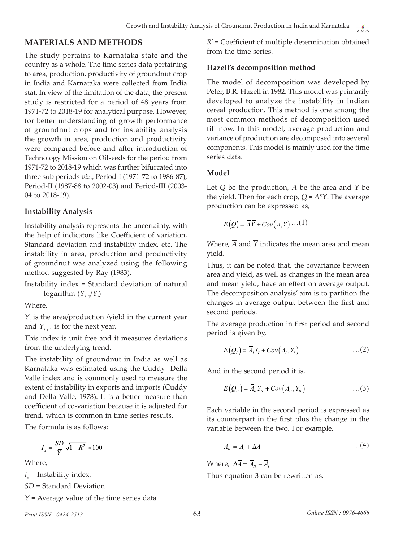## **MATERIALS AND METHODS**

The study pertains to Karnataka state and the country as a whole. The time series data pertaining to area, production, productivity of groundnut crop in India and Karnataka were collected from India stat. In view of the limitation of the data, the present study is restricted for a period of 48 years from 1971-72 to 2018-19 for analytical purpose. However, for better understanding of growth performance of groundnut crops and for instability analysis the growth in area, production and productivity were compared before and after introduction of Technology Mission on Oilseeds for the period from 1971-72 to 2018-19 which was further bifurcated into three sub periods *viz*., Period-I (1971-72 to 1986-87), Period-II (1987-88 to 2002-03) and Period-III (2003- 04 to 2018-19).

#### **Instability Analysis**

Instability analysis represents the uncertainty, with the help of indicators like Coefficient of variation, Standard deviation and instability index, etc. The instability in area, production and productivity of groundnut was analyzed using the following method suggested by Ray (1983).

Instability index = Standard deviation of natural  $\log$ arithm  $(Y_{t+1}/Y_t)$ 

Where,

 $Y_t$  is the area/production /yield in the current year and  $Y_{t+1}$  is for the next year.

This index is unit free and it measures deviations from the underlying trend.

The instability of groundnut in India as well as Karnataka was estimated using the Cuddy- Della Valle index and is commonly used to measure the extent of instability in exports and imports (Cuddy and Della Valle, 1978). It is a better measure than coefficient of co-variation because it is adjusted for trend, which is common in time series results.

The formula is as follows:

$$
I_x = \frac{SD}{\overline{Y}}\sqrt{1 - R^2} \times 100
$$

Where,

 $I_x$  = Instability index,

*SD* = Standard Deviation

 $\overline{Y}$  = Average value of the time series data

*R*2 = Coefficient of multiple determination obtained from the time series.

## **Hazell's decomposition method**

The model of decomposition was developed by Peter, B.R. Hazell in 1982. This model was primarily developed to analyze the instability in Indian cereal production. This method is one among the most common methods of decomposition used till now. In this model, average production and variance of production are decomposed into several components. This model is mainly used for the time series data.

## **Model**

Let *Q* be the production, *A* be the area and *Y* be the yield. Then for each crop,  $Q = A^*Y$ . The average production can be expressed as,

$$
E(Q) = \overline{A}\overline{Y} + Cov(A, Y) \cdots (1)
$$

Where,  $\overline{A}$  and  $\overline{Y}$  indicates the mean area and mean yield.

Thus, it can be noted that, the covariance between area and yield, as well as changes in the mean area and mean yield, have an effect on average output. The decomposition analysis' aim is to partition the changes in average output between the first and second periods.

The average production in first period and second period is given by,

$$
E\big(Q_t\big) = \overline{A}_t \overline{Y}_t + Cov\big(A_t, Y_t\big) \tag{2}
$$

And in the second period it is,

$$
E(Q_{II}) = \overline{A}_{II} \overline{Y}_{II} + Cov(A_{II}, Y_{II}) \qquad ...(3)
$$

Each variable in the second period is expressed as its counterpart in the first plus the change in the variable between the two. For example,

$$
\overline{A}_{II} = \overline{A}_I + \Delta \overline{A} \qquad \qquad \dots (4)
$$

Where,  $\Delta \overline{A} = \overline{A}_{II} - \overline{A}_{I}$ Thus equation 3 can be rewritten as,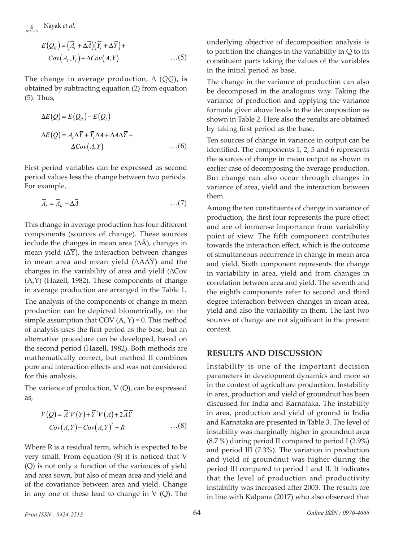al.

$$
E(Q_{II}) = (\overline{A}_I + \Delta \overline{A})(\overline{Y}_I + \Delta \overline{Y}) +
$$
  
\n
$$
Cov(A_I, Y_I) + \Delta Cov(A, Y) \qquad ...(5)
$$

The change in average production, Δ (*QQ*)**,** is obtained by subtracting equation (2) from equation (5). Thus,

$$
\Delta E(Q) = E(Q_{II}) - E(Q_{I})
$$
  
\n
$$
\Delta E(Q) = \overline{A}_{I} \Delta \overline{Y} + \overline{Y}_{I} \Delta \overline{A} + \Delta \overline{A} \Delta \overline{Y} +
$$
  
\n
$$
\Delta Cov(A, Y) \qquad ...(6)
$$

First period variables can be expressed as second period values less the change between two periods. For example,

$$
\overline{A}_t = \overline{A}_{tt} - \Delta \overline{A} \tag{7}
$$

This change in average production has four different components (sources of change). These sources include the changes in mean area  $(\Delta \overline{A})$ , changes in mean yield  $(\Delta Y)$ , the interaction between changes in mean area and mean yield  $(\Delta A\Delta \overline{Y})$  and the changes in the variability of area and yield (∆Cov (A,Y) (Hazell, 1982). These components of change in average production are arranged in the Table 1.

The analysis of the components of change in mean production can be depicted biometrically, on the simple assumption that COV  $(A, Y) = 0$ . This method of analysis uses the first period as the base, but an alternative procedure can be developed, based on the second period (Hazell, 1982). Both methods are mathematically correct, but method II combines pure and interaction effects and was not considered for this analysis.

The variance of production,  $V(Q)$ , can be expressed as,

$$
V(Q) = \overline{A}^{2}V(Y) + \overline{Y}^{2}V(A) + 2\overline{A}\overline{Y}
$$
  
\n
$$
Cov(A, Y) - Cov(A, Y)^{2} + R
$$
...(8)

Where R is a residual term, which is expected to be very small. From equation (8) it is noticed that V (Q) is not only a function of the variances of yield and area sown, but also of mean area and yield and of the covariance between area and yield. Change in any one of these lead to change in V (Q). The underlying objective of decomposition analysis is to partition the changes in the variability in Q to its constituent parts taking the values of the variables in the initial period as base.

The change in the variance of production can also be decomposed in the analogous way. Taking the variance of production and applying the variance formula given above leads to the decomposition as shown in Table 2. Here also the results are obtained by taking first period as the base.

Ten sources of change in variance in output can be identified. The components 1, 2, 5 and 6 represents the sources of change in mean output as shown in earlier case of decomposing the average production. But change can also occur through changes in variance of area, yield and the interaction between them.

Among the ten constituents of change in variance of production, the first four represents the pure effect and are of immense importance from variability point of view. The fifth component contributes towards the interaction effect, which is the outcome of simultaneous occurrence in change in mean area and yield. Sixth component represents the change in variability in area, yield and from changes in correlation between area and yield. The seventh and the eighth components refer to second and third degree interaction between changes in mean area, yield and also the variability in them. The last two sources of change are not significant in the present context.

#### **RESULTS AND DISCUSSION**

Instability is one of the important decision parameters in development dynamics and more so in the context of agriculture production. Instability in area, production and yield of groundnut has been discussed for India and Karnataka. The instability in area, production and yield of ground in India and Karnataka are presented in Table 3. The level of instability was marginally higher in groundnut area (8.7 %) during period II compared to period I (2.9%) and period III (7.3%). The variation in production and yield of groundnut was higher during the period III compared to period I and II. It indicates that the level of production and productivity instability was increased after 2003. The results are in line with Kalpana (2017) who also observed that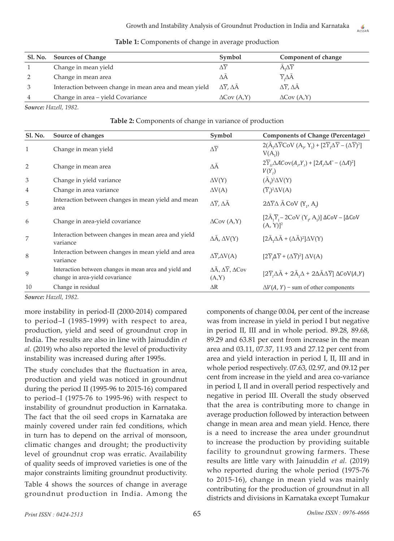| Sl. No. | <b>Sources of Change</b>                               | Symbol                                        | Component of change                           |
|---------|--------------------------------------------------------|-----------------------------------------------|-----------------------------------------------|
|         | Change in mean yield                                   |                                               | $A_1\Delta\overline{Y}$                       |
| 2       | Change in mean area                                    | ΛА                                            | $\overline{Y}_r \Delta \overline{A}$          |
|         | Interaction between change in mean area and mean yield | $\Delta \overline{Y}$ , $\Delta \overline{A}$ | $\Delta \overline{Y}$ , $\Delta \overline{A}$ |
| 4       | Change in area - yield Covariance                      | $\Delta$ Cov $(A, Y)$                         | $\Delta$ Cov $(A, Y)$                         |

**Table 1:** Components of change in average production

*Source: Hazell, 1982.*

#### **Table 2:** Components of change in variance of production

| <b>Sl. No.</b> | Source of changes                                                                         | Symbol                                                 | <b>Components of Change (Percentage)</b>                                                                                |
|----------------|-------------------------------------------------------------------------------------------|--------------------------------------------------------|-------------------------------------------------------------------------------------------------------------------------|
| $\mathbf{1}$   | Change in mean yield                                                                      | $\Delta \overline{Y}$                                  | $2(\bar{A}_1\Delta \bar{Y} \text{CoV} (A_v Y_i) + [2\bar{Y}_1\Delta \bar{Y} - (\Delta \bar{Y})^2]$<br>$V(A_1)$          |
| 2              | Change in mean area                                                                       | ΔĀ                                                     | $2\overline{Y}_n\Delta ACov(A_nY_n) + [2A_n\Delta A - (\Delta A)^2]$<br>$V(Y_i)$                                        |
| 3              | Change in yield variance                                                                  | $\Delta V(Y)$                                          | $(\bar{A}_1)^2 \Delta V(Y)$                                                                                             |
| $\overline{4}$ | Change in area variance                                                                   | $\Delta V(A)$                                          | $(\overline{Y}_I)^2 \Delta V(A)$                                                                                        |
| 5              | Interaction between changes in mean yield and mean<br>area                                | $\Delta \overline{Y}$ , $\Delta \overline{A}$          | $2\Delta \overline{Y} \Delta$ $\overline{A}$ CoV $(Y_1, A_1)$                                                           |
| 6              | Change in area-yield covariance                                                           | $\Delta$ Cov $(A, Y)$                                  | $[2\overline{A}_{1}\overline{Y}_{1}-2\overline{C_{0}V(Y_{\nu}A_{1})}] \Delta COV - [\Delta COV]$<br>(A, Y) <sup>2</sup> |
| 7              | Interaction between changes in mean area and yield<br>variance                            | $\Delta \bar{A}$ , $\Delta V(Y)$                       | $[2\bar{A}_r\Delta\bar{A} + (\Delta\bar{A})^2]\Delta V(Y)$                                                              |
| 8              | Interaction between changes in mean yield and area<br>variance                            | $\Delta \overline{Y}$ , $\Delta V(A)$                  | $[2\overline{Y}_1\Delta \overline{Y} + (\Delta \overline{Y})^2] \Delta V(A)$                                            |
| 9              | Interaction between changes in mean area and yield and<br>change in area-yield covariance | $\Delta \bar{A}, \Delta \bar{Y}, \Delta Cov$<br>(A, Y) | $[2\overline{Y}_{1}\Delta \bar{A} + 2\overline{A}_{1}\Delta + 2\Delta \bar{A} \Delta \overline{Y}] \Delta COV(A,Y)$     |
| 10             | Change in residual                                                                        | $\Delta R$                                             | $\Delta V(A, Y)$ – sum of other components                                                                              |

*Source: Hazell, 1982.*

more instability in period-II (2000-2014) compared to period–I (1985-1999) with respect to area, production, yield and seed of groundnut crop in India. The results are also in line with Jainuddin *et al.* (2019) who also reported the level of productivity instability was increased during after 1995s.

The study concludes that the fluctuation in area, production and yield was noticed in groundnut during the period II (1995-96 to 2015-16) compared to period–I (1975-76 to 1995-96) with respect to instability of groundnut production in Karnataka. The fact that the oil seed crops in Karnataka are mainly covered under rain fed conditions, which in turn has to depend on the arrival of monsoon, climatic changes and drought; the productivity level of groundnut crop was erratic. Availability of quality seeds of improved varieties is one of the major constraints limiting groundnut productivity.

Table 4 shows the sources of change in average groundnut production in India. Among the components of change 00.04, per cent of the increase was from increase in yield in period I but negative in period II, III and in whole period. 89.28, 89.68, 89.29 and 63.81 per cent from increase in the mean area and 03.11, 07.37, 11.93 and 27.12 per cent from area and yield interaction in period I, II, III and in whole period respectively. 07.63, 02.97, and 09.12 per cent from increase in the yield and area co-variance in period I, II and in overall period respectively and negative in period III. Overall the study observed that the area is contributing more to change in average production followed by interaction between change in mean area and mean yield. Hence, there is a need to increase the area under groundnut to increase the production by providing suitable facility to groundnut growing farmers. These results are little vary with Jainuddin *et al.* (2019) who reported during the whole period (1975-76 to 2015-16), change in mean yield was mainly contributing for the production of groundnut in all districts and divisions in Karnataka except Tumakur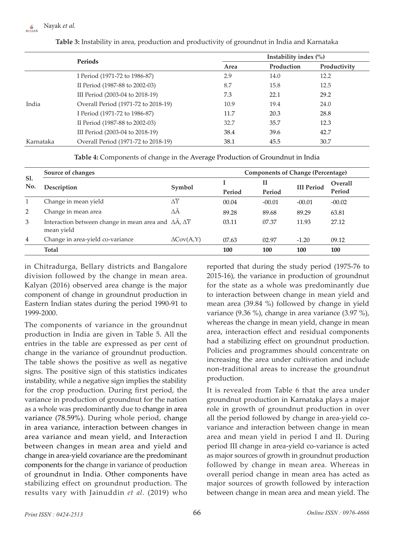|           | Periods                             | Instability index $(\% )$ |            |              |  |
|-----------|-------------------------------------|---------------------------|------------|--------------|--|
|           |                                     | Area                      | Production | Productivity |  |
|           | I Period (1971-72 to 1986-87)       | 2.9                       | 14.0       | 12.2         |  |
|           | II Period (1987-88 to 2002-03)      | 8.7                       | 15.8       | 12.5         |  |
|           | III Period (2003-04 to 2018-19)     | 7.3                       | 22.1       | 29.2         |  |
| India     | Overall Period (1971-72 to 2018-19) | 10.9                      | 19.4       | 24.0         |  |
|           | I Period (1971-72 to 1986-87)       | 11.7                      | 20.3       | 28.8         |  |
|           | II Period (1987-88 to 2002-03)      | 32.7                      | 35.7       | 12.3         |  |
|           | III Period (2003-04 to 2018-19)     | 38.4                      | 39.6       | 42.7         |  |
| Karnataka | Overall Period (1971-72 to 2018-19) | 38.1                      | 45.5       | 30.7         |  |

**Table 3:** Instability in area, production and productivity of groundnut in India and Karnataka

**Table 4:** Components of change in the Average Production of Groundnut in India

| Sl.<br>No.     | Source of changes                                                                             |                       |        | <b>Components of Change (Percentage)</b> |                   |          |  |  |
|----------------|-----------------------------------------------------------------------------------------------|-----------------------|--------|------------------------------------------|-------------------|----------|--|--|
|                | Description                                                                                   | Symbol                |        | $\mathbf{I}$                             | <b>III</b> Period | Overall  |  |  |
|                |                                                                                               |                       | Period | Period                                   |                   | Period   |  |  |
|                | Change in mean yield                                                                          | $\Delta \overline{Y}$ | 00.04  | $-00.01$                                 | $-00.01$          | $-00.02$ |  |  |
| 2              | Change in mean area                                                                           | $\Delta A$            | 89.28  | 89.68                                    | 89.29             | 63.81    |  |  |
| 3              | Interaction between change in mean area and $\Delta \bar{A}$ , $\Delta \bar{Y}$<br>mean yield |                       | 03.11  | 07.37                                    | 11.93             | 27.12    |  |  |
| $\overline{4}$ | Change in area-yield co-variance                                                              | $\Delta$ Cov(A,Y)     | 07.63  | 02.97                                    | $-1.20$           | 09.12    |  |  |
|                | <b>Total</b>                                                                                  |                       | 100    | 100                                      | 100               | 100      |  |  |

in Chitradurga, Bellary districts and Bangalore division followed by the change in mean area. Kalyan (2016) observed area change is the major component of change in groundnut production in Eastern Indian states during the period 1990-91 to 1999-2000.

The components of variance in the groundnut production in India are given in Table 5. All the entries in the table are expressed as per cent of change in the variance of groundnut production. The table shows the positive as well as negative signs. The positive sign of this statistics indicates instability, while a negative sign implies the stability for the crop production. During first period, the variance in production of groundnut for the nation as a whole was predominantly due to change in area variance (78.59%). During whole period, change in area variance, interaction between changes in area variance and mean yield, and Interaction between changes in mean area and yield and change in area-yield covariance are the predominant components for the change in variance of production of groundnut in India. Other components have stabilizing effect on groundnut production. The results vary with Jainuddin *et al.* (2019) who

reported that during the study period (1975-76 to 2015-16), the variance in production of groundnut for the state as a whole was predominantly due to interaction between change in mean yield and mean area (39.84 %) followed by change in yield variance (9.36 %), change in area variance (3.97 %), whereas the change in mean yield, change in mean area, interaction effect and residual components had a stabilizing effect on groundnut production. Policies and programmes should concentrate on increasing the area under cultivation and include non-traditional areas to increase the groundnut production.

It is revealed from Table 6 that the area under groundnut production in Karnataka plays a major role in growth of groundnut production in over all the period followed by change in area-yield covariance and interaction between change in mean area and mean yield in period I and II. During period III change in area-yield co-variance is acted as major sources of growth in groundnut production followed by change in mean area. Whereas in overall period change in mean area has acted as major sources of growth followed by interaction between change in mean area and mean yield. The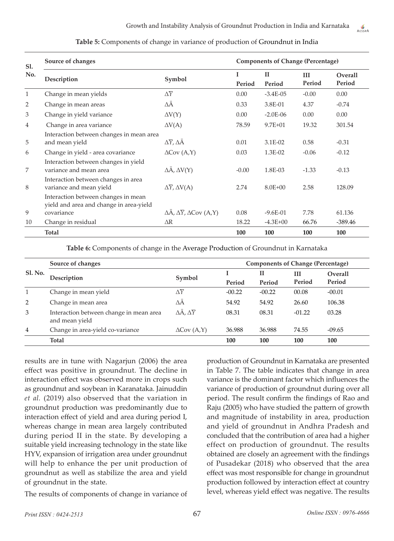| Sl. | Source of changes                                                              |                                                                   |             | <b>Components of Change (Percentage)</b> |               |                          |  |
|-----|--------------------------------------------------------------------------------|-------------------------------------------------------------------|-------------|------------------------------------------|---------------|--------------------------|--|
| No. | Description                                                                    | Symbol                                                            | I<br>Period | $\mathbf{H}$<br>Period                   | III<br>Period | <b>Overall</b><br>Period |  |
| 1   | Change in mean yields                                                          | $\Delta \overline{Y}$                                             | 0.00        | $-3.4E-05$                               | $-0.00$       | 0.00                     |  |
| 2   | Change in mean areas                                                           | $\Delta \bar{A}$                                                  | 0.33        | 3.8E-01                                  | 4.37          | $-0.74$                  |  |
| 3   | Change in yield variance                                                       | $\Delta V(Y)$                                                     | 0.00        | $-2.0E-06$                               | 0.00          | 0.00                     |  |
| 4   | Change in area variance                                                        | $\Delta V(A)$                                                     | 78.59       | $9.7E + 01$                              | 19.32         | 301.54                   |  |
| 5   | Interaction between changes in mean area<br>and mean yield                     | $\Delta \overline{Y}$ , $\Delta \overline{A}$                     | 0.01        | 3.1E-02                                  | 0.58          | $-0.31$                  |  |
| 6   | Change in yield - area covariance                                              | $\Delta$ Cov $(A, Y)$                                             | 0.03        | 1.3E-02                                  | $-0.06$       | $-0.12$                  |  |
| 7   | Interaction between changes in yield<br>variance and mean area                 | $\Delta \bar{A}$ , $\Delta V(Y)$                                  | $-0.00$     | 1.8E-03                                  | $-1.33$       | $-0.13$                  |  |
| 8   | Interaction between changes in area<br>variance and mean yield                 | $\Delta \overline{Y}$ , $\Delta V(A)$                             | 2.74        | $8.0E + 00$                              | 2.58          | 128.09                   |  |
|     | Interaction between changes in mean<br>yield and area and change in area-yield |                                                                   |             |                                          |               |                          |  |
| 9   | covariance                                                                     | $\Delta \bar{A}$ , $\Delta \bar{Y}$ , $\Delta \mathrm{Cov}$ (A,Y) | 0.08        | $-9.6E-01$                               | 7.78          | 61.136                   |  |
| 10  | Change in residual                                                             | $\Delta R$                                                        | 18.22       | $-4.3E + 00$                             | 66.76         | $-389.46$                |  |
|     | <b>Total</b>                                                                   |                                                                   | 100         | 100                                      | 100           | 100                      |  |

**Table 5:** Components of change in variance of production of Groundnut in India

**Table 6:** Components of change in the Average Production of Groundnut in Karnataka

| Sl. No.        | Source of changes                                         |                                     |          | <b>Components of Change (Percentage)</b> |          |          |  |
|----------------|-----------------------------------------------------------|-------------------------------------|----------|------------------------------------------|----------|----------|--|
|                | Description                                               | Symbol                              |          | П                                        | Ш        | Overall  |  |
|                |                                                           |                                     | Period   | Period                                   | Period   | Period   |  |
| 1              | Change in mean yield                                      | $\Delta\overline{Y}$                | $-00.22$ | $-00.22$                                 | 00.08    | $-00.01$ |  |
| 2              | Change in mean area                                       | ΔΑ                                  | 54.92    | 54.92                                    | 26.60    | 106.38   |  |
| 3              | Interaction between change in mean area<br>and mean yield | $\Delta \bar{A}$ , $\Delta \bar{Y}$ | 08.31    | 08.31                                    | $-01.22$ | 03.28    |  |
| $\overline{4}$ | Change in area-yield co-variance                          | $\Delta$ Cov $(A, Y)$               | 36.988   | 36.988                                   | 74.55    | $-09.65$ |  |
|                | <b>Total</b>                                              |                                     | 100      | 100                                      | 100      | 100      |  |

results are in tune with Nagarjun (2006) the area effect was positive in groundnut. The decline in interaction effect was observed more in crops such as groundnut and soybean in Karanataka. Jainuddin *et al.* (2019) also observed that the variation in groundnut production was predominantly due to interaction effect of yield and area during period I, whereas change in mean area largely contributed during period II in the state. By developing a suitable yield increasing technology in the state like HYV, expansion of irrigation area under groundnut will help to enhance the per unit production of groundnut as well as stabilize the area and yield of groundnut in the state.

The results of components of change in variance of

production of Groundnut in Karnataka are presented in Table 7. The table indicates that change in area variance is the dominant factor which influences the variance of production of groundnut during over all period. The result confirm the findings of Rao and Raju (2005) who have studied the pattern of growth and magnitude of instability in area, production and yield of groundnut in Andhra Pradesh and concluded that the contribution of area had a higher effect on production of groundnut. The results obtained are closely an agreement with the findings of Pusadekar (2018) who observed that the area effect was most responsible for change in groundnut production followed by interaction effect at country level, whereas yield effect was negative. The results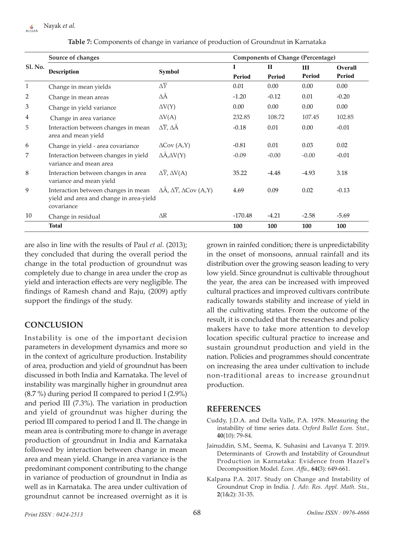|                | Source of changes                                                                            |                                                                   |           | <b>Components of Change (Percentage)</b> |         |         |  |
|----------------|----------------------------------------------------------------------------------------------|-------------------------------------------------------------------|-----------|------------------------------------------|---------|---------|--|
| <b>Sl. No.</b> | <b>Description</b>                                                                           | <b>Symbol</b>                                                     | T         | П                                        | III     | Overall |  |
|                |                                                                                              |                                                                   | Period    | Period                                   | Period  | Period  |  |
| 1              | Change in mean yields                                                                        | $\Delta \overline{Y}$                                             | 0.01      | 0.00                                     | 0.00    | 0.00    |  |
| 2              | Change in mean areas                                                                         | ΔĀ                                                                | $-1.20$   | $-0.12$                                  | 0.01    | $-0.20$ |  |
| 3              | Change in yield variance                                                                     | $\Delta V(Y)$                                                     | 0.00      | 0.00                                     | 0.00    | 0.00    |  |
| 4              | Change in area variance                                                                      | $\Delta V(A)$                                                     | 232.85    | 108.72                                   | 107.45  | 102.85  |  |
| 5              | Interaction between changes in mean<br>area and mean yield                                   | $\Delta \overline{Y}$ , $\Delta \overline{A}$                     | $-0.18$   | 0.01                                     | 0.00    | $-0.01$ |  |
| 6              | Change in yield - area covariance                                                            | $\Delta$ Cov $(A, Y)$                                             | $-0.81$   | 0.01                                     | 0.03    | 0.02    |  |
| 7              | Interaction between changes in yield<br>variance and mean area                               | $\Delta \bar{A}$ , $\Delta V(Y)$                                  | $-0.09$   | $-0.00$                                  | $-0.00$ | $-0.01$ |  |
| 8              | Interaction between changes in area<br>variance and mean yield                               | $\Delta Y$ , $\Delta V(A)$                                        | 35.22     | $-4.48$                                  | $-4.93$ | 3.18    |  |
| 9              | Interaction between changes in mean<br>yield and area and change in area-yield<br>covariance | $\Delta \bar{A}$ , $\Delta \bar{Y}$ , $\Delta \mathrm{Cov}$ (A,Y) | 4.69      | 0.09                                     | 0.02    | $-0.13$ |  |
| 10             | Change in residual                                                                           | $\Delta R$                                                        | $-170.48$ | $-4.21$                                  | $-2.58$ | $-5.69$ |  |
|                | <b>Total</b>                                                                                 |                                                                   | 100       | 100                                      | 100     | 100     |  |

**Table 7:** Components of change in variance of production of Groundnut in Karnataka

are also in line with the results of Paul *et al.* (2013); they concluded that during the overall period the change in the total production of groundnut was completely due to change in area under the crop as yield and interaction effects are very negligible. The findings of Ramesh chand and Raju, (2009) aptly support the findings of the study.

# **CONCLUSION**

Instability is one of the important decision parameters in development dynamics and more so in the context of agriculture production. Instability of area, production and yield of groundnut has been discussed in both India and Karnataka. The level of instability was marginally higher in groundnut area (8.7 %) during period II compared to period I (2.9%) and period III (7.3%). The variation in production and yield of groundnut was higher during the period III compared to period I and II. The change in mean area is contributing more to change in average production of groundnut in India and Karnataka followed by interaction between change in mean area and mean yield. Change in area variance is the predominant component contributing to the change in variance of production of groundnut in India as well as in Karnataka. The area under cultivation of groundnut cannot be increased overnight as it is

grown in rainfed condition; there is unpredictability in the onset of monsoons, annual rainfall and its distribution over the growing season leading to very low yield. Since groundnut is cultivable throughout the year, the area can be increased with improved cultural practices and improved cultivars contribute radically towards stability and increase of yield in all the cultivating states. From the outcome of the result, it is concluded that the researches and policy makers have to take more attention to develop location specific cultural practice to increase and sustain groundnut production and yield in the nation. Policies and programmes should concentrate on increasing the area under cultivation to include non-traditional areas to increase groundnut production.

## **REFERENCES**

- Cuddy, J.D.A. and Della Valle, P.A. 1978. Measuring the instability of time series data. *Oxford Bullet Econ. Stat.*, **40**(10): 79-84.
- Jainuddin, S.M., Seema, K. Suhasini and Lavanya T. 2019. Determinants of Growth and Instability of Groundnut Production in Karnataka: Evidence from Hazel's Decomposition Model. *Econ. Affa.*, **64(**3): 649-661.
- Kalpana P.A. 2017. Study on Change and Instability of Groundnut Crop in India. *J. Adv. Res. Appl. Math. Sta.,* **2**(1&2): 31-35.